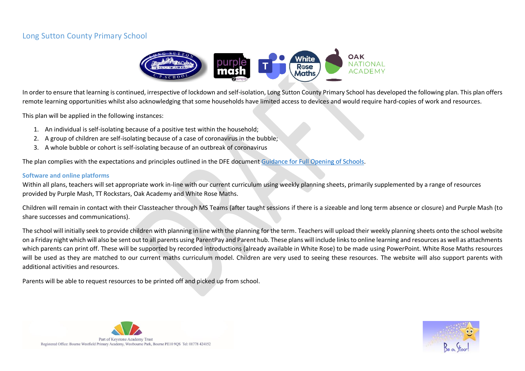## Long Sutton County Primary School



In order to ensure that learning is continued, irrespective of lockdown and self-isolation, Long Sutton County Primary School has developed the following plan. This plan offers remote learning opportunities whilst also acknowledging that some households have limited access to devices and would require hard-copies of work and resources.

This plan will be applied in the following instances:

- 1. An individual is self-isolating because of a positive test within the household;
- 2. A group of children are self-isolating because of a case of coronavirus in the bubble;
- 3. A whole bubble or cohort is self-isolating because of an outbreak of coronavirus

The plan complies with the expectations and principles outlined in the DFE document [Guidance for Full Opening of Schools.](https://www.gov.uk/government/publications/actions-for-schools-during-the-coronavirus-outbreak/guidance-for-full-opening-schools#res)

## **Software and online platforms**

Within all plans, teachers will set appropriate work in-line with our current curriculum using weekly planning sheets, primarily supplemented by a range of resources provided by Purple Mash, TT Rockstars, Oak Academy and White Rose Maths.

Children will remain in contact with their Classteacher through MS Teams (after taught sessions if there is a sizeable and long term absence or closure) and Purple Mash (to share successes and communications).

The school will initially seek to provide children with planning in line with the planning for the term. Teachers will upload their weekly planning sheets onto the school website on a Friday night which will also be sent out to all parents using ParentPay and Parent hub. These plans will include links to online learning and resources as well as attachments which parents can print off. These will be supported by recorded introductions (already available in White Rose) to be made using PowerPoint. White Rose Maths resources will be used as they are matched to our current maths curriculum model. Children are very used to seeing these resources. The website will also support parents with additional activities and resources.

Parents will be able to request resources to be printed off and picked up from school.



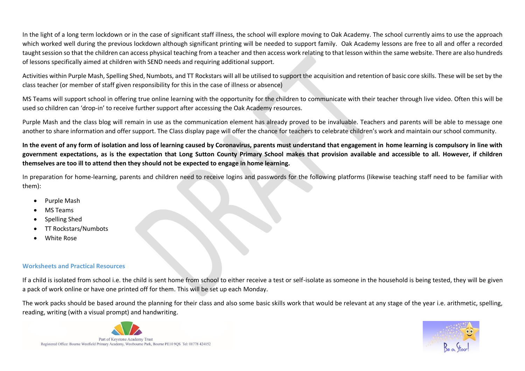In the light of a long term lockdown or in the case of significant staff illness, the school will explore moving to Oak Academy. The school currently aims to use the approach which worked well during the previous lockdown although significant printing will be needed to support family. Oak Academy lessons are free to all and offer a recorded taught session so that the children can access physical teaching from a teacher and then access work relating to that lesson within the same website. There are also hundreds of lessons specifically aimed at children with SEND needs and requiring additional support.

Activities within Purple Mash, Spelling Shed, Numbots, and TT Rockstars will all be utilised to support the acquisition and retention of basic core skills. These will be set by the class teacher (or member of staff given responsibility for this in the case of illness or absence)

MS Teams will support school in offering true online learning with the opportunity for the children to communicate with their teacher through live video. Often this will be used so children can 'drop-in' to receive further support after accessing the Oak Academy resources.

Purple Mash and the class blog will remain in use as the communication element has already proved to be invaluable. Teachers and parents will be able to message one another to share information and offer support. The Class display page will offer the chance for teachers to celebrate children's work and maintain our school community.

**In the event of any form of isolation and loss of learning caused by Coronavirus, parents must understand that engagement in home learning is compulsory in line with government expectations, as is the expectation that Long Sutton County Primary School makes that provision available and accessible to all. However, if children themselves are too ill to attend then they should not be expected to engage in home learning.**

In preparation for home-learning, parents and children need to receive logins and passwords for the following platforms (likewise teaching staff need to be familiar with them):

- Purple Mash
- MS Teams
- Spelling Shed
- TT Rockstars/Numbots
- White Rose

## **Worksheets and Practical Resources**

If a child is isolated from school i.e. the child is sent home from school to either receive a test or self-isolate as someone in the household is being tested, they will be given a pack of work online or have one printed off for them. This will be set up each Monday.

The work packs should be based around the planning for their class and also some basic skills work that would be relevant at any stage of the year i.e. arithmetic, spelling, reading, writing (with a visual prompt) and handwriting.



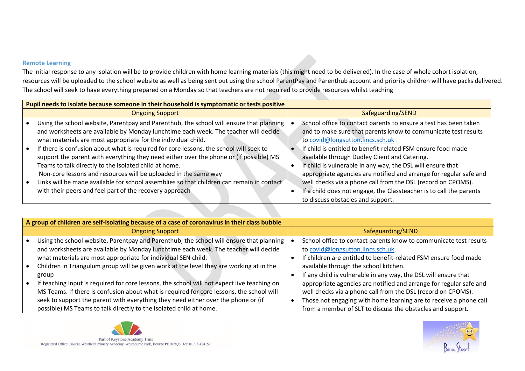## **Remote Learning**

The initial response to any isolation will be to provide children with home learning materials (this might need to be delivered). In the case of whole cohort isolation, resources will be uploaded to the school website as well as being sent out using the school ParentPay and Parenthub account and priority children will have packs delivered. The school will seek to have everything prepared on a Monday so that teachers are not required to provide resources whilst teaching

| Pupil needs to isolate because someone in their household is symptomatic or tests positive |                                                                                           |  |                                                                     |  |  |  |  |
|--------------------------------------------------------------------------------------------|-------------------------------------------------------------------------------------------|--|---------------------------------------------------------------------|--|--|--|--|
|                                                                                            | <b>Ongoing Support</b>                                                                    |  | Safeguarding/SEND                                                   |  |  |  |  |
|                                                                                            | Using the school website, Parentpay and Parenthub, the school will ensure that planning   |  | School office to contact parents to ensure a test has been taken    |  |  |  |  |
|                                                                                            | and worksheets are available by Monday lunchtime each week. The teacher will decide       |  | and to make sure that parents know to communicate test results      |  |  |  |  |
|                                                                                            | what materials are most appropriate for the individual child.                             |  | to covid@longsutton.lincs.sch.uk                                    |  |  |  |  |
|                                                                                            | If there is confusion about what is required for core lessons, the school will seek to    |  | If child is entitled to benefit-related FSM ensure food made        |  |  |  |  |
|                                                                                            | support the parent with everything they need either over the phone or (if possible) MS    |  | available through Dudley Client and Catering.                       |  |  |  |  |
|                                                                                            | Teams to talk directly to the isolated child at home.                                     |  | If child is vulnerable in any way, the DSL will ensure that         |  |  |  |  |
|                                                                                            | Non-core lessons and resources will be uploaded in the same way                           |  | appropriate agencies are notified and arrange for regular safe and  |  |  |  |  |
|                                                                                            | Links will be made available for school assemblies so that children can remain in contact |  | well checks via a phone call from the DSL (record on CPOMS).        |  |  |  |  |
|                                                                                            | with their peers and feel part of the recovery approach                                   |  | If a child does not engage, the Classteacher is to call the parents |  |  |  |  |
|                                                                                            |                                                                                           |  | to discuss obstacles and support.                                   |  |  |  |  |

| A group of children are self-isolating because of a case of coronavirus in their class bubble |                                                                                             |  |                                                                    |  |  |  |  |
|-----------------------------------------------------------------------------------------------|---------------------------------------------------------------------------------------------|--|--------------------------------------------------------------------|--|--|--|--|
|                                                                                               | <b>Ongoing Support</b>                                                                      |  | Safeguarding/SEND                                                  |  |  |  |  |
|                                                                                               | Using the school website, Parentpay and Parenthub, the school will ensure that planning     |  | School office to contact parents know to communicate test results  |  |  |  |  |
|                                                                                               | and worksheets are available by Monday lunchtime each week. The teacher will decide         |  | to covid@longsutton.lincs.sch.uk.                                  |  |  |  |  |
|                                                                                               | what materials are most appropriate for individual SEN child.                               |  | If children are entitled to benefit-related FSM ensure food made   |  |  |  |  |
|                                                                                               | Children in Triangulum group will be given work at the level they are working at in the     |  | available through the school kitchen.                              |  |  |  |  |
|                                                                                               | group                                                                                       |  | If any child is vulnerable in any way, the DSL will ensure that    |  |  |  |  |
|                                                                                               | If teaching input is required for core lessons, the school will not expect live teaching on |  | appropriate agencies are notified and arrange for regular safe and |  |  |  |  |
|                                                                                               | MS Teams. If there is confusion about what is required for core lessons, the school will    |  | well checks via a phone call from the DSL (record on CPOMS).       |  |  |  |  |
|                                                                                               | seek to support the parent with everything they need either over the phone or (if           |  | Those not engaging with home learning are to receive a phone call  |  |  |  |  |
|                                                                                               | possible) MS Teams to talk directly to the isolated child at home.                          |  | from a member of SLT to discuss the obstacles and support.         |  |  |  |  |



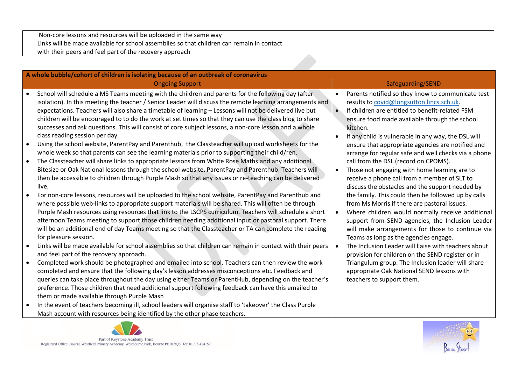| Non-core lessons and resources will be uploaded in the same way                           |  |
|-------------------------------------------------------------------------------------------|--|
| Links will be made available for school assemblies so that children can remain in contact |  |
| with their peers and feel part of the recovery approach                                   |  |

| A whole bubble/cohort of children is isolating because of an outbreak of coronavirus |                                                                                                                                                                                                                                                                                                                                                                                                                                                                                                                                                                                  |                        |                                                                                                                                                                                                                                                                                                                                                             |  |  |  |  |  |
|--------------------------------------------------------------------------------------|----------------------------------------------------------------------------------------------------------------------------------------------------------------------------------------------------------------------------------------------------------------------------------------------------------------------------------------------------------------------------------------------------------------------------------------------------------------------------------------------------------------------------------------------------------------------------------|------------------------|-------------------------------------------------------------------------------------------------------------------------------------------------------------------------------------------------------------------------------------------------------------------------------------------------------------------------------------------------------------|--|--|--|--|--|
| <b>Ongoing Support</b>                                                               |                                                                                                                                                                                                                                                                                                                                                                                                                                                                                                                                                                                  | Safeguarding/SEND      |                                                                                                                                                                                                                                                                                                                                                             |  |  |  |  |  |
|                                                                                      | School will schedule a MS Teams meeting with the children and parents for the following day (after<br>isolation). In this meeting the teacher / Senior Leader will discuss the remote learning arrangements and<br>expectations. Teachers will also share a timetable of learning - Lessons will not be delivered live but<br>children will be encouraged to to do the work at set times so that they can use the class blog to share<br>successes and ask questions. This will consist of core subject lessons, a non-core lesson and a whole<br>class reading session per day. | $\bullet$<br>$\bullet$ | Parents notified so they know to communicate test<br>results to covid@longsutton.lincs.sch.uk.<br>If children are entitled to benefit-related FSM<br>ensure food made available through the school<br>kitchen.<br>If any child is vulnerable in any way, the DSL will                                                                                       |  |  |  |  |  |
|                                                                                      | Using the school website, ParentPay and Parenthub, the Classteacher will upload worksheets for the<br>whole week so that parents can see the learning materials prior to supporting their child/ren.<br>The Classteacher will share links to appropriate lessons from White Rose Maths and any additional<br>Bitesize or Oak National lessons through the school website, ParentPay and Parenthub. Teachers will<br>then be accessible to children through Purple Mash so that any issues or re-teaching can be delivered                                                        |                        | ensure that appropriate agencies are notified and<br>arrange for regular safe and well checks via a phone<br>call from the DSL (record on CPOMS).<br>Those not engaging with home learning are to<br>receive a phone call from a member of SLT to                                                                                                           |  |  |  |  |  |
|                                                                                      | live.<br>For non-core lessons, resources will be uploaded to the school website, ParentPay and Parenthub and<br>where possible web-links to appropriate support materials will be shared. This will often be through<br>Purple Mash resources using resources that link to the LSCPS curriculum. Teachers will schedule a short<br>afternoon Teams meeting to support those children needing additional input or pastoral support. There<br>will be an additional end of day Teams meeting so that the Classteacher or TA can complete the reading<br>for pleasure session.      |                        | discuss the obstacles and the support needed by<br>the family. This could then be followed up by calls<br>from Ms Morris if there are pastoral issues.<br>Where children would normally receive additional<br>support from SEND agencies, the Inclusion Leader<br>will make arrangements for those to continue via<br>Teams as long as the agencies engage. |  |  |  |  |  |
|                                                                                      | Links will be made available for school assemblies so that children can remain in contact with their peers<br>and feel part of the recovery approach.                                                                                                                                                                                                                                                                                                                                                                                                                            |                        | The Inclusion Leader will liaise with teachers about<br>provision for children on the SEND register or in                                                                                                                                                                                                                                                   |  |  |  |  |  |
| $\bullet$                                                                            | Completed work should be photographed and emailed into school. Teachers can then review the work<br>completed and ensure that the following day's lesson addresses misconceptions etc. Feedback and<br>queries can take place throughout the day using either Teams or ParentHub, depending on the teacher's<br>preference. Those children that need additional support following feedback can have this emailed to<br>them or made available through Purple Mash                                                                                                                |                        | Triangulum group. The Inclusion leader will share<br>appropriate Oak National SEND lessons with<br>teachers to support them.                                                                                                                                                                                                                                |  |  |  |  |  |
|                                                                                      | In the event of teachers becoming ill, school leaders will organise staff to 'takeover' the Class Purple<br>Mash account with resources being identified by the other phase teachers.                                                                                                                                                                                                                                                                                                                                                                                            |                        |                                                                                                                                                                                                                                                                                                                                                             |  |  |  |  |  |
|                                                                                      |                                                                                                                                                                                                                                                                                                                                                                                                                                                                                                                                                                                  |                        |                                                                                                                                                                                                                                                                                                                                                             |  |  |  |  |  |